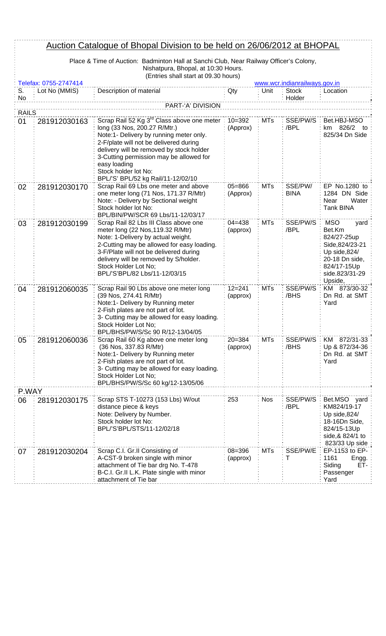|              | <u>Auction Catalogue of Bhopal Division to be held on 26/06/2012 at BHOPAL</u>         |                                                                                                                                                                                                                                                                                                                                                  |                        |            |                               |                                                                                                                                              |  |  |
|--------------|----------------------------------------------------------------------------------------|--------------------------------------------------------------------------------------------------------------------------------------------------------------------------------------------------------------------------------------------------------------------------------------------------------------------------------------------------|------------------------|------------|-------------------------------|----------------------------------------------------------------------------------------------------------------------------------------------|--|--|
|              | Place & Time of Auction: Badminton Hall at Sanchi Club, Near Railway Officer's Colony, |                                                                                                                                                                                                                                                                                                                                                  |                        |            |                               |                                                                                                                                              |  |  |
|              |                                                                                        | Nishatpura, Bhopal, at 10:30 Hours.<br>(Entries shall start at 09.30 hours)                                                                                                                                                                                                                                                                      |                        |            |                               |                                                                                                                                              |  |  |
|              | Telefax: 0755-2747414                                                                  |                                                                                                                                                                                                                                                                                                                                                  |                        |            | www.wcr.indianrailways.gov.in |                                                                                                                                              |  |  |
| S.<br>No     | Lot No (MMIS)                                                                          | Description of material                                                                                                                                                                                                                                                                                                                          | Qty                    | Unit       | <b>Stock</b><br>Holder        | Location                                                                                                                                     |  |  |
|              |                                                                                        | PART-'A' DIVISION                                                                                                                                                                                                                                                                                                                                |                        |            |                               |                                                                                                                                              |  |  |
| <b>RAILS</b> |                                                                                        |                                                                                                                                                                                                                                                                                                                                                  |                        |            |                               |                                                                                                                                              |  |  |
| 01           | 281912030163                                                                           | Scrap Rail 52 Kg 3 <sup>rd</sup> Class above one meter<br>long (33 Nos, 200.27 R/Mtr.)<br>Note:1- Delivery by running meter only.<br>2-F/plate will not be delivered during<br>delivery will be removed by stock holder<br>3-Cutting permission may be allowed for<br>easy loading<br>Stock holder lot No:<br>BPL/'S' BPL/52 kg Rail/11-12/02/10 | $10 = 392$<br>(Approx) | <b>MTs</b> | SSE/PW/S<br>/BPL              | Bet.HBJ-MSO<br>km 826/2<br>to<br>825/34 Dn Side                                                                                              |  |  |
| 02           | 281912030170                                                                           | Scrap Rail 69 Lbs one meter and above<br>one meter long (71 Nos, 171.37 R/Mtr)<br>Note: - Delivery by Sectional weight<br>Stock holder lot No:<br>BPL/BIN/PW/SCR 69 Lbs/11-12/03/17                                                                                                                                                              | $05 = 866$<br>(Approx) | <b>MTs</b> | SSE/PW/<br><b>BINA</b>        | EP No.1280 to<br>1284 DN Side<br>Near<br>Water<br><b>Tank BINA</b>                                                                           |  |  |
| 03           | 281912030199                                                                           | Scrap Rail 82 Lbs III Class above one<br>meter long (22 Nos, 119.32 R/Mtr)<br>Note: 1-Delivery by actual weight.<br>2-Cutting may be allowed for easy loading.<br>3-F/Plate will not be delivered during<br>delivery will be removed by S/holder.<br>Stock Holder Lot No;<br>BPL/'S'BPL/82 Lbs/11-12/03/15                                       | $04 = 438$<br>(approx) | <b>MTs</b> | SSE/PW/S<br>/BPL              | <b>MSO</b><br>yard<br>Bet.Km<br>824/27-25up<br>Side, 824/23-21<br>Up side,824/<br>20-18 Dn side,<br>824/17-15Up<br>side.823/31-29<br>Upside, |  |  |
| 04           | 281912060035                                                                           | Scrap Rail 90 Lbs above one meter long<br>(39 Nos, 274.41 R/Mtr)<br>Note:1- Delivery by Running meter<br>2-Fish plates are not part of lot.<br>3- Cutting may be allowed for easy loading.<br>Stock Holder Lot No;<br>BPL/BHS/PW/S/Sc 90 R/12-13/04/05                                                                                           | $12 = 241$<br>(approx) | <b>MTs</b> | SSE/PW/S<br>/BHS              | KM 873/30-32<br>Dn Rd. at SMT<br>Yard                                                                                                        |  |  |
| 05           | 281912060036                                                                           | Scrap Rail 60 Kg above one meter long<br>(36 Nos, 337.83 R/Mtr)<br>Note:1- Delivery by Running meter<br>2-Fish plates are not part of lot.<br>3- Cutting may be allowed for easy loading.<br>Stock Holder Lot No;<br>BPL/BHS/PW/S/Sc 60 kg/12-13/05/06                                                                                           | $20 = 384$<br>(approx) | <b>MTs</b> | SSE/PW/S<br>/BHS              | KM 872/31-33<br>Up & 872/34-36<br>Dn Rd. at SMT<br>Yard                                                                                      |  |  |
| P.WAY        |                                                                                        |                                                                                                                                                                                                                                                                                                                                                  |                        |            |                               |                                                                                                                                              |  |  |
| 06           | 281912030175                                                                           | Scrap STS T-10273 (153 Lbs) W/out<br>distance piece & keys<br>Note: Delivery by Number.<br>Stock holder lot No:<br>BPL/'S'BPL/STS/11-12/02/18                                                                                                                                                                                                    | 253                    | <b>Nos</b> | SSE/PW/S<br>/BPL              | Bet.MSO yard<br>KM824/19-17<br>Up side,824/<br>18-16Dn Side,<br>824/15-13Up<br>side, & 824/1 to<br>823/33 Up side                            |  |  |
| 07           | 281912030204                                                                           | Scrap C.I. Gr.II Consisting of<br>A-CST-9 broken single with minor<br>attachment of Tie bar drg No. T-478<br>B-C.I. Gr.II L.K. Plate single with minor<br>attachment of Tie bar                                                                                                                                                                  | $08 = 396$<br>(approx) | <b>MTs</b> | SSE/PW/E<br>т                 | EP-1153 to EP-<br>1161<br>Engg.<br>Siding<br>ET-<br>Passenger<br>Yard                                                                        |  |  |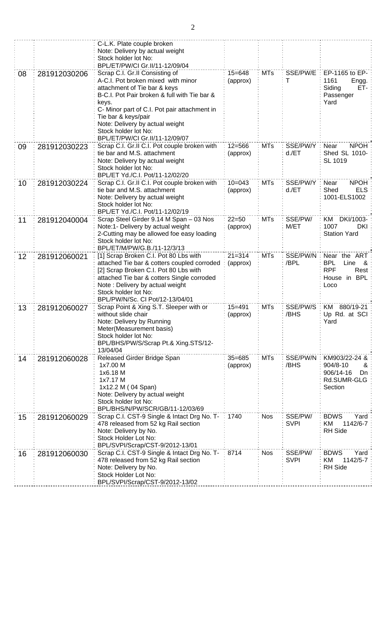|    |              | C-L.K. Plate couple broken<br>Note: Delivery by actual weight<br>Stock holder lot No: |            |            |             |                                  |
|----|--------------|---------------------------------------------------------------------------------------|------------|------------|-------------|----------------------------------|
|    |              | BPL/ET/PW/CI Gr.II/11-12/09/04                                                        |            |            |             |                                  |
| 08 | 281912030206 | Scrap C.I. Gr.II Consisting of                                                        | $15 = 648$ | <b>MTs</b> | SSE/PW/E    | EP-1165 to EP-                   |
|    |              | A-C.I. Pot broken mixed with minor                                                    | (approx)   |            | т           | 1161<br>Engg.                    |
|    |              | attachment of Tie bar & keys                                                          |            |            |             | ET-<br>Siding                    |
|    |              | B-C.I. Pot Pair broken & full with Tie bar &                                          |            |            |             | Passenger                        |
|    |              | keys.<br>C- Minor part of C.I. Pot pair attachment in                                 |            |            |             | Yard                             |
|    |              | Tie bar & keys/pair                                                                   |            |            |             |                                  |
|    |              | Note: Delivery by actual weight                                                       |            |            |             |                                  |
|    |              | Stock holder lot No:                                                                  |            |            |             |                                  |
|    |              | BPL/ET/PW/CI Gr.II/11-12/09/07                                                        |            |            |             |                                  |
| 09 | 281912030223 | Scrap C.I. Gr.II C.I. Pot couple broken with                                          | $12 = 566$ | <b>MTs</b> | SSE/PW/Y    | <b>NPOH</b><br>Near              |
|    |              | tie bar and M.S. attachment<br>Note: Delivery by actual weight                        | (approx)   |            | $d$ ./ET    | Shed SL 1010-<br>SL 1019         |
|    |              | Stock holder lot No:                                                                  |            |            |             |                                  |
|    |              | BPL/ET Yd./C.I. Pot/11-12/02/20                                                       |            |            |             |                                  |
| 10 | 281912030224 | Scrap C.I. Gr.II C.I. Pot couple broken with                                          | $10 = 043$ | <b>MTs</b> | SSE/PW/Y    | Near<br><b>NPOH</b>              |
|    |              | tie bar and M.S. attachment                                                           | (approx)   |            | $d$ ./ET    | Shed<br><b>ELS</b>               |
|    |              | Note: Delivery by actual weight                                                       |            |            |             | 1001-ELS1002                     |
|    |              | Stock holder lot No:<br>BPL/ET Yd./C.I. Pot/11-12/02/19                               |            |            |             |                                  |
| 11 | 281912040004 | Scrap Steel Girder 9.14 M Span - 03 Nos                                               | $22 = 50$  | <b>MTs</b> | SSE/PW/     | DKI/1003-<br>KM                  |
|    |              | Note:1- Delivery by actual weight                                                     | (approx)   |            | M/ET        | 1007<br><b>DKI</b>               |
|    |              | 2-Cutting may be allowed foe easy loading                                             |            |            |             | <b>Station Yard</b>              |
|    |              | Stock holder lot No:                                                                  |            |            |             |                                  |
| 12 |              | BPL/ET/M/PW/G.B./11-12/3/13<br>[1] Scrap Broken C.I. Pot 80 Lbs with                  | $21 = 314$ | <b>MTs</b> | SSE/PW/N    | Near the ART                     |
|    | 281912060021 | attached Tie bar & cotters coupled corroded                                           | (approx)   |            | /BPL        | <b>BPL</b><br>Line &             |
|    |              | [2] Scrap Broken C.I. Pot 80 Lbs with                                                 |            |            |             | <b>RPF</b><br>Rest               |
|    |              | attached Tie bar & cotters Single corroded                                            |            |            |             | House in BPL                     |
|    |              | Note: Delivery by actual weight                                                       |            |            |             | Loco                             |
|    |              | Stock holder lot No:<br>BPL/PW/N/Sc. CI Pot/12-13/04/01                               |            |            |             |                                  |
| 13 | 281912060027 | Scrap Point & Xing S.T. Sleeper with or                                               | $15 = 491$ | <b>MTs</b> | SSE/PW/S    | KM 880/19-21                     |
|    |              | without slide chair                                                                   | (approx)   |            | /BHS        | Up Rd. at SCI                    |
|    |              | Note: Delivery by Running                                                             |            |            |             | Yard                             |
|    |              | Meter(Measurement basis)                                                              |            |            |             |                                  |
|    |              | Stock holder lot No:<br>BPL/BHS/PW/S/Scrap Pt.& Xing.STS/12-                          |            |            |             |                                  |
|    |              | 13/04/04                                                                              |            |            |             |                                  |
| 14 | 281912060028 | Released Girder Bridge Span                                                           | $35 = 685$ | <b>MTs</b> | SSE/PW/N    | KM903/22-24 &                    |
|    |              | 1x7.00 M                                                                              | (approx)   |            | /BHS        | 904/8-10<br>&                    |
|    |              | 1x6.18 M                                                                              |            |            |             | 906/14-16<br>Dn                  |
|    |              | 1x7.17 M<br>1x12.2 M (04 Span)                                                        |            |            |             | Rd.SUMR-GLG<br>Section           |
|    |              | Note: Delivery by actual weight                                                       |            |            |             |                                  |
|    |              | Stock holder lot No:                                                                  |            |            |             |                                  |
|    |              | BPL/BHS/N/PW/SCR/GB/11-12/03/69                                                       |            |            |             |                                  |
| 15 | 281912060029 | Scrap C.I. CST-9 Single & Intact Drg No. T-                                           | 1740       | <b>Nos</b> | SSE/PW/     | <b>BDWS</b><br>Yard              |
|    |              | 478 released from 52 kg Rail section                                                  |            |            | <b>SVPI</b> | 1142/6-7<br>KM<br><b>RH</b> Side |
|    |              | Note: Delivery by No.<br>Stock Holder Lot No:                                         |            |            |             |                                  |
|    |              | BPL/SVPI/Scrap/CST-9/2012-13/01                                                       |            |            |             |                                  |
| 16 | 281912060030 | Scrap C.I. CST-9 Single & Intact Drg No. T-                                           | 8714       | <b>Nos</b> | SSE/PW/     | <b>BDWS</b><br>Yard              |
|    |              | 478 released from 52 kg Rail section                                                  |            |            | <b>SVPI</b> | KM<br>1142/5-7                   |
|    |              | Note: Delivery by No.                                                                 |            |            |             | <b>RH</b> Side                   |
|    |              | Stock Holder Lot No:<br>BPL/SVPI/Scrap/CST-9/2012-13/02                               |            |            |             |                                  |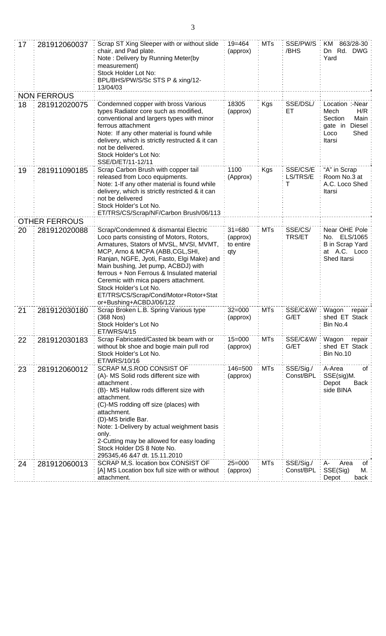| 17 | 281912060037         | Scrap ST Xing Sleeper with or without slide<br>chair, and Pad plate.<br>Note: Delivery by Running Meter(by<br>measurement)<br>Stock Holder Lot No:<br>BPL/BHS/PW/S/Sc STS P & xing/12-<br>13/04/03                                                                                                                                                                                                                                       | 19=464<br>(approx)                         | <b>MTs</b> | SSE/PW/S<br>/BHS          | 863/28-30<br>KM.<br>Dn Rd. DWG:<br>Yard                                                        |
|----|----------------------|------------------------------------------------------------------------------------------------------------------------------------------------------------------------------------------------------------------------------------------------------------------------------------------------------------------------------------------------------------------------------------------------------------------------------------------|--------------------------------------------|------------|---------------------------|------------------------------------------------------------------------------------------------|
|    | <b>NON FERROUS</b>   |                                                                                                                                                                                                                                                                                                                                                                                                                                          |                                            |            |                           |                                                                                                |
| 18 | 281912020075         | Condemned copper with bross Various<br>types Radiator core such as modified,<br>conventional and largers types with minor<br>ferrous attachment<br>Note: If any other material is found while<br>delivery, which is strictly restructed & it can<br>not be delivered.<br>Stock Holder's Lot No:<br>SSE/D/ET/11-12/11                                                                                                                     | 18305<br>(approx)                          | Kgs        | SSE/DSL/<br>ET            | Location :-Near<br>H/R<br>Mech<br>Section<br>Main<br>gate in Diesel:<br>Shed<br>Loco<br>Itarsi |
| 19 | 281911090185         | Scrap Carbon Brush with copper tail<br>released from Loco equipments.<br>Note: 1-If any other material is found while<br>delivery, which is strictly restricted & it can<br>not be delivered<br>Stock Holder's Lot No.<br>ET/TRS/CS/Scrap/NF/Carbon Brush/06/113                                                                                                                                                                         | 1100<br>(Approx)                           | Kgs        | SSE/CS/E<br>LS/TRS/E<br>т | "A" in Scrap<br>Room No.3 at<br>A.C. Loco Shed<br>Itarsi                                       |
|    | <b>OTHER FERROUS</b> |                                                                                                                                                                                                                                                                                                                                                                                                                                          |                                            |            |                           |                                                                                                |
| 20 | 281912020088         | Scrap/Condemned & dismantal Electric<br>Loco parts consisting of Motors, Rotors,<br>Armatures, Stators of MVSL, MVSI, MVMT,<br>MCP, Arno & MCPA (ABB, CGL, SHI,<br>Ranjan, NGFE, Jyoti, Fasto, Elgi Make) and<br>Main bushing, Jet pump, ACBDJ) with<br>ferrous + Non Ferrous & Insulated material<br>Ceremic with mica papers attachment.<br>Stock Holder's Lot No.<br>ET/TRS/CS/Scrap/Cond/Motor+Rotor+Stat<br>or+Bushing+ACBDJ/06/122 | $31 = 680$<br>(approx)<br>to entire<br>qty | <b>MTs</b> | SSE/CS/<br><b>TRS/ET</b>  | Near OHE Pole<br>No. ELS/1065<br><b>B</b> in Scrap Yard<br>at A.C. Loco<br>Shed Itarsi         |
| 21 | 281912030180         | Scrap Broken L.B. Spring Various type<br>(368 Nos)<br>Stock Holder's Lot No<br>ET/WRS/4/15                                                                                                                                                                                                                                                                                                                                               | $32 = 000$<br>(approx)                     | <b>MTs</b> | SSE/C&W/<br>G/ET          | Wagon<br>repair<br>shed ET Stack<br>Bin No.4                                                   |
| 22 | 281912030183         | Scrap Fabricated/Casted bk beam with or<br>without bk shoe and bogie main pull rod<br>Stock Holder's Lot No.<br>ET/WRS/10/16                                                                                                                                                                                                                                                                                                             | $15 = 000$<br>(approx)                     | <b>MTs</b> | SSE/C&W/<br>G/ET          | Wagon<br>repair<br>shed ET Stack<br>Bin No.10                                                  |
| 23 | 281912060012         | SCRAP M, S.ROD CONSIST OF<br>(A)- MS Solid rods different size with<br>attachment.<br>(B)- MS Hallow rods different size with<br>attachment.<br>(C)-MS rodding off size (places) with<br>attachment.<br>(D)-MS bridle Bar.<br>Note: 1-Delivery by actual weighment basis<br>only.<br>2-Cutting may be allowed for easy loading<br>Stock Holder DS 8 Note No.<br>295345,46 &47 dt. 15.11.2010                                             | 146=500<br>(approx)                        | <b>MTs</b> | SSE/Sig./<br>Const/BPL    | A-Area<br>οf<br>SSE(sig)M.<br>Depot<br>Back<br>side BINA                                       |
| 24 | 281912060013         | SCRAP M, S. location box CONSIST OF<br>[A] MS Location box full size with or without<br>attachment.                                                                                                                                                                                                                                                                                                                                      | $25 = 000$<br>(approx)                     | <b>MTs</b> | SSE/Sig./<br>Const/BPL    | A-<br>Area<br>οf<br>SSE(Sig)<br>М.<br>Depot<br>back:                                           |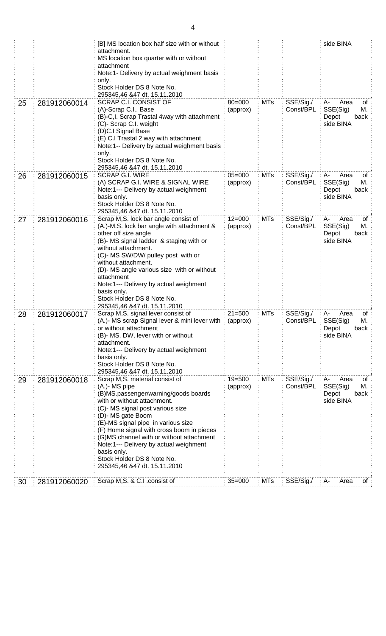|    |              | [B] MS location box half size with or without<br>attachment.<br>MS location box quarter with or without                                                                                                                                                                                                                                                                                                                               |                        |            |                        | side BINA                                                        |
|----|--------------|---------------------------------------------------------------------------------------------------------------------------------------------------------------------------------------------------------------------------------------------------------------------------------------------------------------------------------------------------------------------------------------------------------------------------------------|------------------------|------------|------------------------|------------------------------------------------------------------|
|    |              | attachment<br>Note:1- Delivery by actual weighment basis<br>only.                                                                                                                                                                                                                                                                                                                                                                     |                        |            |                        |                                                                  |
|    |              | Stock Holder DS 8 Note No.<br>295345,46 &47 dt. 15.11.2010                                                                                                                                                                                                                                                                                                                                                                            |                        |            |                        |                                                                  |
| 25 | 281912060014 | SCRAP C.I. CONSIST OF<br>(A)-Scrap C.I Base<br>(B)-C, I. Scrap Trastal 4way with attachment<br>(C)- Scrap C.I. weight<br>(D)C.I Signal Base<br>(E) C.I Trastal 2 way with attachment<br>Note:1-- Delivery by actual weighment basis<br>only.<br>Stock Holder DS 8 Note No.<br>295345,46 &47 dt. 15.11.2010                                                                                                                            | $80 = 000$<br>(approx) | <b>MTs</b> | SSE/Sig./<br>Const/BPL | Area<br>A-<br>оt<br>SSE(Sig)<br>М.<br>Depot<br>back<br>side BINA |
| 26 | 281912060015 | <b>SCRAP G.I. WIRE</b><br>(A) SCRAP G.I. WIRE & SIGNAL WIRE<br>Note:1--- Delivery by actual weighment<br>basis only.<br>Stock Holder DS 8 Note No.<br>295345,46 &47 dt. 15.11.2010                                                                                                                                                                                                                                                    | $05 = 000$<br>(approx) | <b>MTs</b> | SSE/Sig./<br>Const/BPL | A-<br>Area<br>οf<br>SSE(Sig)<br>Μ.<br>Depot<br>back<br>side BINA |
| 27 | 281912060016 | Scrap M,S. lock bar angle consist of<br>(A.)-M.S. lock bar angle with attachment &<br>other off size angle<br>(B)- MS signal ladder & staging with or<br>without attachment.<br>(C)- MS SW/DW/ pulley post with or<br>without attachment.<br>(D)- MS angle various size with or without<br>attachment<br>Note:1--- Delivery by actual weighment<br>basis only.<br>Stock Holder DS 8 Note No.<br>295345,46 &47 dt. 15.11.2010          | $12 = 000$<br>(approx) | <b>MTs</b> | SSE/Sig./<br>Const/BPL | Area<br>A-<br>of<br>SSE(Sig)<br>M.<br>Depot<br>back<br>side BINA |
| 28 | 281912060017 | Scrap M,S. signal lever consist of<br>(A.)- MS scrap Signal lever & mini lever with : (approx)<br>or without attachment<br>(B)- MS. DW, lever with or without<br>attachment.<br>Note:1--- Delivery by actual weighment<br>basis only.<br>Stock Holder DS 8 Note No.<br>295345,46 &47 dt. 15.11.2010                                                                                                                                   | $21 = 500$             | <b>MTs</b> | SSE/Sig./<br>Const/BPL | Area<br>A-<br>ot<br>SSE(Sig)<br>M.<br>Depot<br>back<br>side BINA |
| 29 | 281912060018 | Scrap M,S. material consist of<br>(A.)- MS pipe<br>(B)MS.passenger/warning/goods boards<br>with or without attachment.<br>(C)- MS signal post various size<br>(D)- MS gate Boom<br>(E)-MS signal pipe in various size<br>(F) Home signal with cross boom in pieces<br>(G)MS channel with or without attachment<br>Note:1--- Delivery by actual weighment<br>basis only.<br>Stock Holder DS 8 Note No.<br>295345,46 &47 dt. 15.11.2010 | $19 = 500$<br>(approx) | <b>MTs</b> | SSE/Sig./<br>Const/BPL | A-<br>Area<br>0f<br>SSE(Sig)<br>Μ.<br>Depot<br>back<br>side BINA |
| 30 | 281912060020 | Scrap M,S. & C.I .consist of                                                                                                                                                                                                                                                                                                                                                                                                          | $35 = 000$             | MTs        | SSE/Sig./              | Area<br>: A-<br>of :                                             |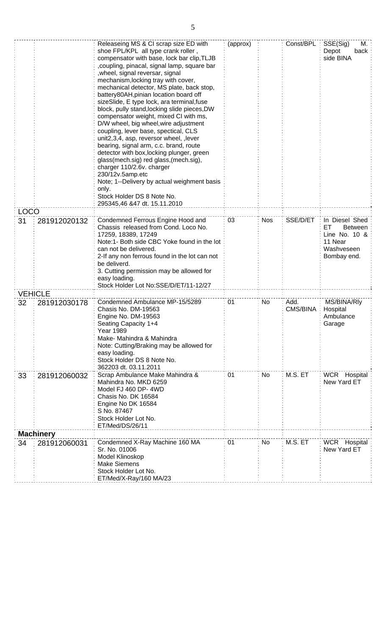|             |                  | Releaseing MS & CI scrap size ED with<br>shoe FPL/KPL all type crank roller,<br>compensator with base, lock bar clip, TLJB<br>coupling, pinacal, signal lamp, square bar,<br>, wheel, signal reversar, signal<br>mechanism, locking tray with cover,<br>mechanical detector, MS plate, back stop,<br>battery80AH, pinian location board off<br>sizeSlide, E type lock, ara terminal, fuse<br>block, pully stand, locking slide pieces, DW<br>compensator weight, mixed CI with ms,<br>D/W wheel, big wheel, wire adjustment<br>coupling, lever base, spectical, CLS<br>unit2,3,4, asp, reversor wheel, , lever<br>bearing, signal arm, c.c. brand, route<br>detector with box, locking plunger, green<br>glass(mech.sig) red glass,(mech.sig),<br>charger 110/2.6v. charger<br>230/12v.5amp.etc<br>Note; 1--Delivery by actual weighment basis<br>only.<br>Stock Holder DS 8 Note No.<br>295345,46 &47 dt. 15.11.2010 | (approx) |            | Const/BPL:       | SSE(Sig)<br>М.<br>Depot<br>back<br>side BINA                                                |
|-------------|------------------|-----------------------------------------------------------------------------------------------------------------------------------------------------------------------------------------------------------------------------------------------------------------------------------------------------------------------------------------------------------------------------------------------------------------------------------------------------------------------------------------------------------------------------------------------------------------------------------------------------------------------------------------------------------------------------------------------------------------------------------------------------------------------------------------------------------------------------------------------------------------------------------------------------------------------|----------|------------|------------------|---------------------------------------------------------------------------------------------|
| <b>LOCO</b> |                  |                                                                                                                                                                                                                                                                                                                                                                                                                                                                                                                                                                                                                                                                                                                                                                                                                                                                                                                       |          |            |                  |                                                                                             |
| 31          | 281912020132     | Condemned Ferrous Engine Hood and<br>Chassis released from Cond. Loco No.<br>17259, 18389, 17249<br>Note:1- Both side CBC Yoke found in the lot<br>can not be delivered.<br>2-If any non ferrous found in the lot can not<br>be deliverd.<br>3. Cutting permission may be allowed for<br>easy loading.<br>Stock Holder Lot No:SSE/D/ET/11-12/27                                                                                                                                                                                                                                                                                                                                                                                                                                                                                                                                                                       | 03       | <b>Nos</b> | SSE/D/ET         | In Diesel Shed<br>Between<br>EТ<br>Line No. $10 \&$<br>11 Near<br>Washveseen<br>Bombay end. |
|             | VEHICLE          |                                                                                                                                                                                                                                                                                                                                                                                                                                                                                                                                                                                                                                                                                                                                                                                                                                                                                                                       |          |            |                  |                                                                                             |
| 32          | 281912030178     | Condemned Ambulance MP-15/5289<br>Chasis No. DM-19563<br>Engine No. DM-19563<br>Seating Capacity 1+4<br><b>Year 1989</b><br>Make- Mahindra & Mahindra<br>Note: Cutting/Braking may be allowed for<br>easy loading.<br>Stock Holder DS 8 Note No.<br>362203 dt. 03.11.2011                                                                                                                                                                                                                                                                                                                                                                                                                                                                                                                                                                                                                                             | 01       | No         | Add.<br>CMS/BINA | MS/BINA/Rly<br>Hospital<br>Ambulance<br>Garage                                              |
| 33          | 281912060032     | Scrap Ambulance Make Mahindra &<br>Mahindra No. MKD 6259<br>Model FJ 460 DP-4WD<br>Chasis No. DK 16584<br>Engine No DK 16584<br>S No. 87467<br>Stock Holder Lot No.<br>ET/Med/DS/26/11                                                                                                                                                                                                                                                                                                                                                                                                                                                                                                                                                                                                                                                                                                                                | 01       | No         | M.S. ET          | WCR Hospital<br>New Yard ET                                                                 |
|             | <b>Machinery</b> |                                                                                                                                                                                                                                                                                                                                                                                                                                                                                                                                                                                                                                                                                                                                                                                                                                                                                                                       |          |            |                  |                                                                                             |
| 34          | 281912060031     | Condemned X-Ray Machine 160 MA<br>Sr. No. 01006<br>Model Klinoskop<br><b>Make Siemens</b><br>Stock Holder Lot No.<br>ET/Med/X-Ray/160 MA/23                                                                                                                                                                                                                                                                                                                                                                                                                                                                                                                                                                                                                                                                                                                                                                           | 01       | No         | M.S. ET          | WCR Hospital<br>New Yard ET                                                                 |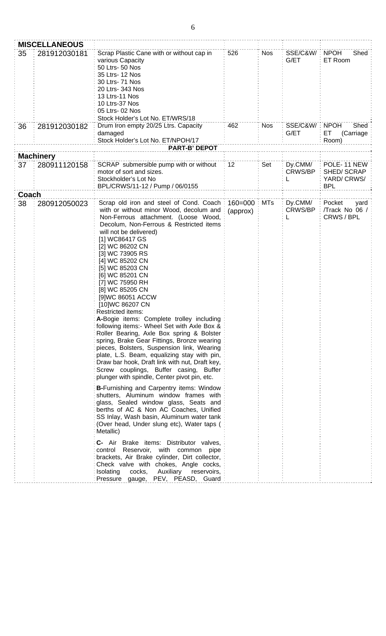|          | <b>MISCELLANEOUS</b>             |                                                                                                                                                                                                                                                                                                                                                                                                                                                                                                                                                                                                                                                                                                                                                                                                                                                      |                         |                          |                                           |                                                |
|----------|----------------------------------|------------------------------------------------------------------------------------------------------------------------------------------------------------------------------------------------------------------------------------------------------------------------------------------------------------------------------------------------------------------------------------------------------------------------------------------------------------------------------------------------------------------------------------------------------------------------------------------------------------------------------------------------------------------------------------------------------------------------------------------------------------------------------------------------------------------------------------------------------|-------------------------|--------------------------|-------------------------------------------|------------------------------------------------|
| 35<br>36 | 281912030181<br>281912030182     | Scrap Plastic Cane with or without cap in<br>various Capacity<br>50 Ltrs- 50 Nos<br>35 Ltrs- 12 Nos<br>30 Ltrs- 71 Nos<br>20 Ltrs- 343 Nos<br>13 Ltrs-11 Nos<br>10 Ltrs-37 Nos<br>05 Ltrs- 02 Nos<br>Stock Holder's Lot No. ET/WRS/18<br>Drum Iron empty 20/25 Ltrs. Capacity                                                                                                                                                                                                                                                                                                                                                                                                                                                                                                                                                                        | 526<br>462              | <b>Nos</b><br><b>Nos</b> | SSE/C&W/ : NPOH<br>G/ET<br>SSE/C&W/: NPOH | Shed<br>ET Room<br>Shed                        |
|          |                                  | damaged                                                                                                                                                                                                                                                                                                                                                                                                                                                                                                                                                                                                                                                                                                                                                                                                                                              |                         |                          | G/ET                                      | ET.<br>(Carriage                               |
|          |                                  | Stock Holder's Lot No. ET/NPOH/17                                                                                                                                                                                                                                                                                                                                                                                                                                                                                                                                                                                                                                                                                                                                                                                                                    |                         |                          |                                           | Room)                                          |
|          |                                  | <b>PART-B' DEPOT</b>                                                                                                                                                                                                                                                                                                                                                                                                                                                                                                                                                                                                                                                                                                                                                                                                                                 |                         |                          |                                           |                                                |
| 37       | <b>Machinery</b><br>280911120158 | SCRAP submersible pump with or without                                                                                                                                                                                                                                                                                                                                                                                                                                                                                                                                                                                                                                                                                                                                                                                                               | 12                      | Set                      | Dy.CMM/                                   | POLE-11 NEW                                    |
|          |                                  | motor of sort and sizes.<br>Stockholder's Lot No<br>BPL/CRWS/11-12 / Pump / 06/0155                                                                                                                                                                                                                                                                                                                                                                                                                                                                                                                                                                                                                                                                                                                                                                  |                         |                          | <b>CRWS/BP</b>                            | SHED/SCRAP<br>YARD/CRWS/<br><b>BPL</b>         |
| Coach    |                                  |                                                                                                                                                                                                                                                                                                                                                                                                                                                                                                                                                                                                                                                                                                                                                                                                                                                      |                         |                          |                                           |                                                |
| 38       | 280912050023                     | Scrap old iron and steel of Cond. Coach:<br>with or without minor Wood, decolum and<br>Non-Ferrous attachment. (Loose Wood,<br>Decolum, Non-Ferrous & Restricted items<br>will not be delivered)<br>[1] WC86417 GS<br>[2] WC 86202 CN<br>[3] WC 73905 RS<br>[4] WC 85202 CN<br>[5] WC 85203 CN<br>[6] WC 85201 CN<br>[7] WC 75950 RH<br>[8] WC 85205 CN<br>[9]WC 86051 ACCW<br>[10]WC 86207 CN<br>Restricted items:<br>A-Bogie items: Complete trolley including<br>following items:- Wheel Set with Axle Box &<br>Roller Bearing, Axle Box spring & Bolster<br>spring, Brake Gear Fittings, Bronze wearing<br>pieces, Bolsters, Suspension link, Wearing<br>plate, L.S. Beam, equalizing stay with pin,<br>Draw bar hook, Draft link with nut, Draft key,<br>Screw couplings, Buffer casing, Buffer<br>plunger with spindle, Center pivot pin, etc. | $160 = 000$<br>(approx) | <b>MTs</b>               | Dy.CMM/<br>CRWS/BP                        | Pocket<br>yard<br>/Track No 06 /<br>CRWS / BPL |
|          |                                  | <b>B-Furnishing and Carpentry items: Window</b><br>shutters, Aluminum window frames with<br>glass, Sealed window glass, Seats and<br>berths of AC & Non AC Coaches, Unified<br>SS Inlay, Wash basin, Aluminum water tank<br>(Over head, Under slung etc), Water taps (<br>Metallic)<br>C- Air Brake items: Distributor valves,                                                                                                                                                                                                                                                                                                                                                                                                                                                                                                                       |                         |                          |                                           |                                                |
|          |                                  | control Reservoir, with common pipe<br>brackets, Air Brake cylinder, Dirt collector,<br>Check valve with chokes, Angle cocks,<br>cocks,<br>Auxiliary<br>Isolating<br>reservoirs,<br>Pressure gauge, PEV, PEASD, Guard                                                                                                                                                                                                                                                                                                                                                                                                                                                                                                                                                                                                                                |                         |                          |                                           |                                                |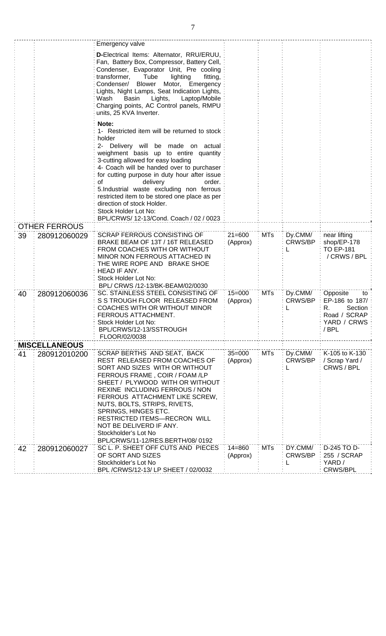|    |                      | Emergency valve                                                                                                                                                                                                                                                                                                                                                                                                                                                                                             |                        |            |                           |                                                                                           |
|----|----------------------|-------------------------------------------------------------------------------------------------------------------------------------------------------------------------------------------------------------------------------------------------------------------------------------------------------------------------------------------------------------------------------------------------------------------------------------------------------------------------------------------------------------|------------------------|------------|---------------------------|-------------------------------------------------------------------------------------------|
|    |                      | D-Electrical Items: Alternator, RRU/ERUU,<br>Fan, Battery Box, Compressor, Battery Cell,<br>Condenser, Evaporator Unit, Pre cooling<br>transformer,<br>Tube<br>lighting<br>fitting,<br><b>Blower</b><br>Motor, Emergency<br>Condenser/<br>Lights, Night Lamps, Seat Indication Lights,<br>Laptop/Mobile<br>Basin<br>Lights,<br>Wash<br>Charging points, AC Control panels, RMPU<br>units, 25 KVA Inverter.                                                                                                  |                        |            |                           |                                                                                           |
|    |                      | Note:<br>1- Restricted item will be returned to stock<br>holder<br>2- Delivery will be made on actual<br>weighment basis up to entire quantity<br>3-cutting allowed for easy loading<br>4- Coach will be handed over to purchaser<br>for cutting purpose in duty hour after issue<br>delivery<br>order.<br>οf<br>5.Industrial waste excluding non ferrous<br>restricted item to be stored one place as per<br>direction of stock Holder.<br>Stock Holder Lot No:<br>BPL/CRWS/ 12-13/Cond. Coach / 02 / 0023 |                        |            |                           |                                                                                           |
|    | <b>OTHER FERROUS</b> |                                                                                                                                                                                                                                                                                                                                                                                                                                                                                                             |                        |            |                           |                                                                                           |
| 39 | 280912060029         | <b>SCRAP FERROUS CONSISTING OF</b><br>BRAKE BEAM OF 13T / 16T RELEASED<br>FROM COACHES WITH OR WITHOUT<br>MINOR NON FERROUS ATTACHED IN<br>THE WIRE ROPE AND BRAKE SHOE<br>HEAD IF ANY.<br>Stock Holder Lot No:<br>BPL/ CRWS /12-13/BK-BEAM/02/0030                                                                                                                                                                                                                                                         | $21 = 600$<br>(Approx) | <b>MTs</b> | Dy.CMM/<br>CRWS/BP        | near lifting<br>shop/EP-178<br><b>TO EP-181</b><br>/ CRWS / BPL                           |
| 40 | 280912060036         | SC. STAINLESS STEEL CONSISTING OF<br>S S TROUGH FLOOR RELEASED FROM<br>COACHES WITH OR WITHOUT MINOR<br>FERROUS ATTACHMENT.<br>Stock Holder Lot No:<br>BPL/CRWS/12-13/SSTROUGH<br>FLOOR/02/0038                                                                                                                                                                                                                                                                                                             | $15 = 000$<br>(Approx) | <b>MTs</b> | Dy.CMM/<br><b>CRWS/BP</b> | Opposite<br>to<br>EP-186 to 187/<br>Section<br>R.<br>Road / SCRAP<br>YARD / CRWS<br>/ BPL |
|    | <b>MISCELLANEOUS</b> |                                                                                                                                                                                                                                                                                                                                                                                                                                                                                                             |                        |            |                           |                                                                                           |
| 41 | 280912010200         | SCRAP BERTHS AND SEAT, BACK<br>REST RELEASED FROM COACHES OF<br>SORT AND SIZES WITH OR WITHOUT<br>FERROUS FRAME, COIR / FOAM /LP<br>SHEET / PLYWOOD WITH OR WITHOUT<br>REXINE INCLUDING FERROUS / NON<br>FERROUS ATTACHMENT LIKE SCREW,<br>NUTS, BOLTS, STRIPS, RIVETS,<br>SPRINGS, HINGES ETC.<br>RESTRICTED ITEMS-RECRON WILL<br>NOT BE DELIVERD IF ANY.<br>Stockholder's Lot No<br>BPL/CRWS/11-12/RES.BERTH/08/0192                                                                                      | $35 = 000$<br>(Approx) | <b>MTs</b> | Dy.CMM/<br>CRWS/BP        | K-105 to K-130<br>/ Scrap Yard /<br>CRWS/BPL                                              |
| 42 | 280912060027         | SC L. P. SHEET OFF CUTS AND PIECES<br>OF SORT AND SIZES<br>Stockholder's Lot No<br>BPL /CRWS/12-13/ LP SHEET / 02/0032                                                                                                                                                                                                                                                                                                                                                                                      | $14 = 860$<br>(Approx) | <b>MTs</b> | DY.CMM/<br>CRWS/BP        | D-245 TO D-<br>255 / SCRAP<br>YARD /<br><b>CRWS/BPL</b>                                   |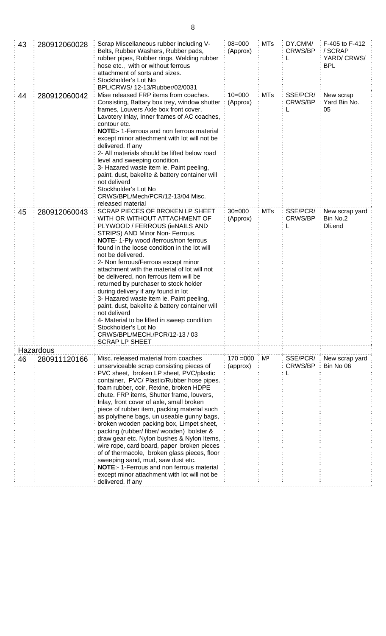| 43 | 280912060028 | Scrap Miscellaneous rubber including V-<br>Belts, Rubber Washers, Rubber pads,<br>rubber pipes, Rubber rings, Welding rubber<br>hose etc., with or without ferrous<br>attachment of sorts and sizes.<br>Stockholder's Lot No<br>BPL/CRWS/ 12-13/Rubber/02/0031                                                                                                                                                                                                                                                                                                                                                                                                                                                                                                                                       | $08 = 000$<br>(Approx)  | <b>MTs</b>     | DY.CMM/<br>CRWS/BP  | F-405 to F-412<br>/ SCRAP<br>YARD/CRWS/<br><b>BPL</b> |
|----|--------------|------------------------------------------------------------------------------------------------------------------------------------------------------------------------------------------------------------------------------------------------------------------------------------------------------------------------------------------------------------------------------------------------------------------------------------------------------------------------------------------------------------------------------------------------------------------------------------------------------------------------------------------------------------------------------------------------------------------------------------------------------------------------------------------------------|-------------------------|----------------|---------------------|-------------------------------------------------------|
| 44 | 280912060042 | Mise released FRP items from coaches.<br>Consisting, Battary box trey, window shutter<br>frames, Louvers Axle box front cover,<br>Lavotery Inlay, Inner frames of AC coaches,<br>contour etc.<br><b>NOTE:-</b> 1-Ferrous and non ferrous material<br>except minor attechment with lot will not be<br>delivered. If any<br>2- All materials should be lifted below road<br>level and sweeping condition.<br>3- Hazared waste item ie. Paint peeling,<br>paint, dust, bakelite & battery container will<br>not deliverd<br>Stockholder's Lot No<br>CRWS/BPL/Mech/PCR/12-13/04 Misc.<br>released material                                                                                                                                                                                               | $10 = 000$<br>(Approx)  | <b>MTs</b>     | SSE/PCR/<br>CRWS/BP | New scrap<br>Yard Bin No.<br>05                       |
| 45 | 280912060043 | SCRAP PIECES OF BROKEN LP SHEET<br>WITH OR WITHOUT ATTACHMENT OF<br>PLYWOOD / FERROUS (ieNAILS AND<br>STRIPS) AND Minor Non- Ferrous.<br>NOTE- 1-Ply wood /ferrous/non ferrous<br>found in the loose condition in the lot will<br>not be delivered.<br>2- Non ferrous/Ferrous except minor<br>attachment with the material of lot will not<br>be delivered, non ferrous item will be<br>returned by purchaser to stock holder<br>during delivery if any found in lot<br>3- Hazared waste item ie. Paint peeling,<br>paint, dust, bakelite & battery container will<br>not deliverd<br>4- Material to be lifted in sweep condition<br>Stockholder's Lot No<br>CRWS/BPL/MECH./PCR/12-13 / 03<br><b>SCRAP LP SHEET</b>                                                                                  | $30 = 000$<br>(Approx)  | <b>MTs</b>     | SSE/PCR/<br>CRWS/BP | New scrap yard<br>Bin No.2<br>Dli.end                 |
|    | Hazardous    |                                                                                                                                                                                                                                                                                                                                                                                                                                                                                                                                                                                                                                                                                                                                                                                                      |                         |                |                     |                                                       |
| 46 | 280911120166 | Misc. released material from coaches<br>unserviceable scrap consisting pieces of<br>PVC sheet, broken LP sheet, PVC/plastic<br>container, PVC/ Plastic/Rubber hose pipes.<br>foam rubber, coir, Rexine, broken HDPE<br>chute. FRP items, Shutter frame, louvers,<br>Inlay, front cover of axle, small broken<br>piece of rubber item, packing material such<br>as polythene bags, un useable gunny bags,<br>broken wooden packing box, Limpet sheet,<br>packing (rubber/ fiber/ wooden) bolster &<br>draw gear etc. Nylon bushes & Nylon Items,<br>wire rope, card board, paper broken pieces<br>of of thermacole, broken glass pieces, floor<br>sweeping sand, mud, saw dust etc.<br>NOTE:- 1-Ferrous and non ferrous material<br>except minor attachment with lot will not be<br>delivered. If any | $170 = 000$<br>(approx) | $\mathsf{M}^3$ | SSE/PCR/<br>CRWS/BP | New scrap yard<br>Bin No 06                           |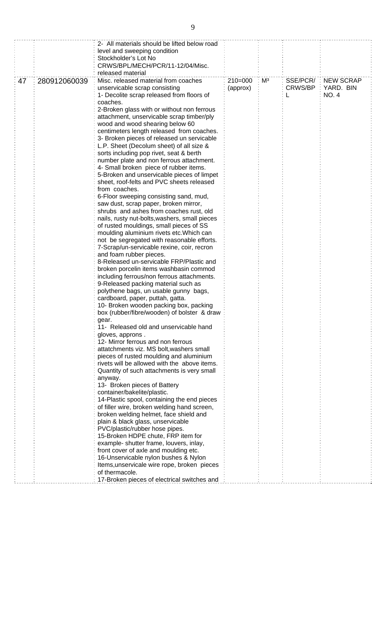|    |              | 2- All materials should be lifted below road                                          |           |                |          |             |
|----|--------------|---------------------------------------------------------------------------------------|-----------|----------------|----------|-------------|
|    |              | level and sweeping condition                                                          |           |                |          |             |
|    |              | Stockholder's Lot No                                                                  |           |                |          |             |
|    |              | CRWS/BPL/MECH/PCR/11-12/04/Misc.                                                      |           |                |          |             |
|    |              | released material                                                                     |           |                |          |             |
| 47 | 280912060039 | Misc. released material from coaches                                                  | $210=000$ | M <sup>3</sup> | SSE/PCR/ | : NEW SCRAP |
|    |              | unservicable scrap consisting                                                         | (approx)  |                | CRWS/BP  | YARD. BIN   |
|    |              | 1- Decolite scrap released from floors of                                             |           |                |          | <b>NO.4</b> |
|    |              | coaches.                                                                              |           |                |          |             |
|    |              | 2-Broken glass with or without non ferrous                                            |           |                |          |             |
|    |              | attachment, unservicable scrap timber/ply                                             |           |                |          |             |
|    |              | wood and wood shearing below 60                                                       |           |                |          |             |
|    |              | centimeters length released from coaches.                                             |           |                |          |             |
|    |              | 3- Broken pieces of released un servicable                                            |           |                |          |             |
|    |              | L.P. Sheet (Decolum sheet) of all size &                                              |           |                |          |             |
|    |              | sorts including pop rivet, seat & berth                                               |           |                |          |             |
|    |              | number plate and non ferrous attachment.                                              |           |                |          |             |
|    |              | 4- Small broken piece of rubber items.                                                |           |                |          |             |
|    |              | 5-Broken and unservicable pieces of limpet                                            |           |                |          |             |
|    |              | sheet, roof-felts and PVC sheets released                                             |           |                |          |             |
|    |              | from coaches.                                                                         |           |                |          |             |
|    |              | 6-Floor sweeping consisting sand, mud,                                                |           |                |          |             |
|    |              | saw dust, scrap paper, broken mirror,                                                 |           |                |          |             |
|    |              | shrubs and ashes from coaches rust, old                                               |           |                |          |             |
|    |              | nails, rusty nut-bolts, washers, small pieces                                         |           |                |          |             |
|    |              | of rusted mouldings, small pieces of SS                                               |           |                |          |             |
|    |              | moulding aluminium rivets etc. Which can                                              |           |                |          |             |
|    |              | not be segregated with reasonable efforts.                                            |           |                |          |             |
|    |              | 7-Scrap/un-servicable rexine, coir, recron                                            |           |                |          |             |
|    |              | and foam rubber pieces.<br>8-Released un-servicable FRP/Plastic and                   |           |                |          |             |
|    |              | broken porcelin items washbasin commod                                                |           |                |          |             |
|    |              | including ferrous/non ferrous attachments.                                            |           |                |          |             |
|    |              | 9-Released packing material such as                                                   |           |                |          |             |
|    |              | polythene bags, un usable gunny bags,                                                 |           |                |          |             |
|    |              | cardboard, paper, puttah, gatta.                                                      |           |                |          |             |
|    |              | 10- Broken wooden packing box, packing                                                |           |                |          |             |
|    |              | box (rubber/fibre/wooden) of bolster & draw                                           |           |                |          |             |
|    |              | gear.                                                                                 |           |                |          |             |
|    |              | 11- Released old and unservicable hand                                                |           |                |          |             |
|    |              | gloves, approns.                                                                      |           |                |          |             |
|    |              | 12- Mirror ferrous and non ferrous                                                    |           |                |          |             |
|    |              | attatchments viz. MS bolt, washers small                                              |           |                |          |             |
|    |              | pieces of rusted moulding and aluminium                                               |           |                |          |             |
|    |              | rivets will be allowed with the above items.                                          |           |                |          |             |
|    |              | Quantity of such attachments is very small                                            |           |                |          |             |
|    |              | anyway.                                                                               |           |                |          |             |
|    |              | 13- Broken pieces of Battery                                                          |           |                |          |             |
|    |              | container/bakelite/plastic.                                                           |           |                |          |             |
|    |              | 14-Plastic spool, containing the end pieces                                           |           |                |          |             |
|    |              | of filler wire, broken welding hand screen,<br>broken welding helmet, face shield and |           |                |          |             |
|    |              | plain & black glass, unservicable                                                     |           |                |          |             |
|    |              | PVC/plastic/rubber hose pipes.                                                        |           |                |          |             |
|    |              | 15-Broken HDPE chute, FRP item for                                                    |           |                |          |             |
|    |              | example- shutter frame, louvers, inlay,                                               |           |                |          |             |
|    |              | front cover of axle and moulding etc.                                                 |           |                |          |             |
|    |              | 16-Unservicable nylon bushes & Nylon                                                  |           |                |          |             |
|    |              | Items, unservicale wire rope, broken pieces                                           |           |                |          |             |
|    |              | of thermacole.                                                                        |           |                |          |             |
|    |              | 17-Broken pieces of electrical switches and                                           |           |                |          |             |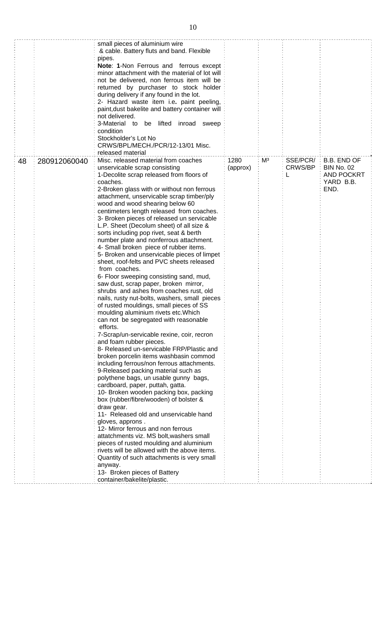|    |              | small pieces of aluminium wire<br>& cable. Battery fluts and band. Flexible<br>pipes.<br>Note: 1-Non Ferrous and ferrous except<br>minor attachment with the material of lot will<br>not be delivered, non ferrous item will be<br>returned by purchaser to stock holder<br>during delivery if any found in the lot.<br>2- Hazard waste item i.e. paint peeling,<br>paint, dust bakelite and battery container will<br>not delivered.<br>3-Material to<br>be lifted inroad sweep<br>condition<br>Stockholder's Lot No<br>CRWS/BPL/MECH./PCR/12-13/01 Misc.<br>released material                                                                                                                                                                                                                                                                                                                                                                                                                                                                                                                                                                                                                                                                                                                                                                                                                                                                                                                                                                                                                                                                                                                                                                                                |                  |    |                          |                                                                                        |
|----|--------------|--------------------------------------------------------------------------------------------------------------------------------------------------------------------------------------------------------------------------------------------------------------------------------------------------------------------------------------------------------------------------------------------------------------------------------------------------------------------------------------------------------------------------------------------------------------------------------------------------------------------------------------------------------------------------------------------------------------------------------------------------------------------------------------------------------------------------------------------------------------------------------------------------------------------------------------------------------------------------------------------------------------------------------------------------------------------------------------------------------------------------------------------------------------------------------------------------------------------------------------------------------------------------------------------------------------------------------------------------------------------------------------------------------------------------------------------------------------------------------------------------------------------------------------------------------------------------------------------------------------------------------------------------------------------------------------------------------------------------------------------------------------------------------|------------------|----|--------------------------|----------------------------------------------------------------------------------------|
| 48 | 280912060040 | Misc. released material from coaches<br>unservicable scrap consisting<br>1-Decolite scrap released from floors of<br>coaches.<br>2-Broken glass with or without non ferrous<br>attachment, unservicable scrap timber/ply<br>wood and wood shearing below 60<br>centimeters length released from coaches.<br>3- Broken pieces of released un servicable<br>L.P. Sheet (Decolum sheet) of all size &<br>sorts including pop rivet, seat & berth<br>number plate and nonferrous attachment.<br>4- Small broken piece of rubber items.<br>5- Broken and unservicable pieces of limpet<br>sheet, roof-felts and PVC sheets released<br>from coaches.<br>6- Floor sweeping consisting sand, mud,<br>saw dust, scrap paper, broken mirror,<br>shrubs and ashes from coaches rust, old<br>nails, rusty nut-bolts, washers, small pieces<br>of rusted mouldings, small pieces of SS<br>moulding aluminium rivets etc. Which<br>can not be segregated with reasonable<br>efforts.<br>7-Scrap/un-servicable rexine, coir, recron<br>and foam rubber pieces.<br>8- Released un-servicable FRP/Plastic and<br>broken porcelin items washbasin commod<br>including ferrous/non ferrous attachments.<br>9-Released packing material such as<br>polythene bags, un usable gunny bags,<br>cardboard, paper, puttah, gatta.<br>10- Broken wooden packing box, packing<br>box (rubber/fibre/wooden) of bolster &<br>draw gear.<br>11- Released old and unservicable hand<br>gloves, approns.<br>12- Mirror ferrous and non ferrous<br>attatchments viz. MS bolt, washers small<br>pieces of rusted moulding and aluminium<br>rivets will be allowed with the above items.<br>Quantity of such attachments is very small<br>anyway.<br>13- Broken pieces of Battery<br>container/bakelite/plastic. | 1280<br>(approx) | Mз | SSE/PCR/<br>CRWS/BP<br>L | <b>B.B. END OF</b><br><b>BIN No. 02</b><br>÷<br><b>AND POCKRT</b><br>YARD B.B.<br>END. |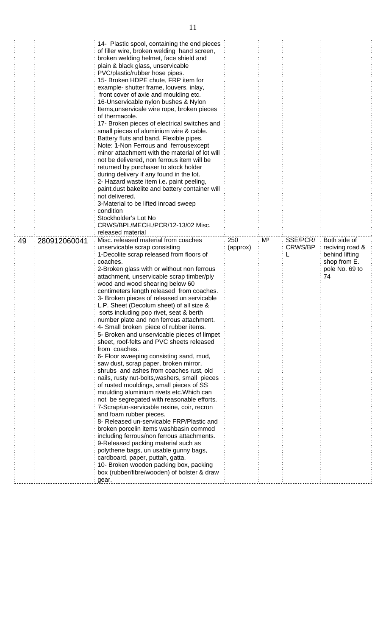|    |              | 14- Plastic spool, containing the end pieces<br>of filler wire, broken welding hand screen,<br>broken welding helmet, face shield and<br>plain & black glass, unservicable<br>PVC/plastic/rubber hose pipes.<br>15- Broken HDPE chute, FRP item for<br>example- shutter frame, louvers, inlay,<br>front cover of axle and moulding etc.<br>16-Unservicable nylon bushes & Nylon<br>Items, unservicale wire rope, broken pieces<br>of thermacole.<br>17- Broken pieces of electrical switches and<br>small pieces of aluminium wire & cable.<br>Battery fluts and band. Flexible pipes.<br>Note: 1-Non Ferrous and ferrousexcept<br>minor attachment with the material of lot will<br>not be delivered, non ferrous item will be<br>returned by purchaser to stock holder<br>during delivery if any found in the lot.<br>2- Hazard waste item i.e. paint peeling,<br>paint, dust bakelite and battery container will<br>not delivered.<br>3-Material to be lifted inroad sweep<br>condition<br>Stockholder's Lot No<br>CRWS/BPL/MECH./PCR/12-13/02 Misc.<br>released material                                                                                                                                                                                                                                                                                      |          |    |          |                                                                           |
|----|--------------|-------------------------------------------------------------------------------------------------------------------------------------------------------------------------------------------------------------------------------------------------------------------------------------------------------------------------------------------------------------------------------------------------------------------------------------------------------------------------------------------------------------------------------------------------------------------------------------------------------------------------------------------------------------------------------------------------------------------------------------------------------------------------------------------------------------------------------------------------------------------------------------------------------------------------------------------------------------------------------------------------------------------------------------------------------------------------------------------------------------------------------------------------------------------------------------------------------------------------------------------------------------------------------------------------------------------------------------------------------------------|----------|----|----------|---------------------------------------------------------------------------|
| 49 | 280912060041 | Misc. released material from coaches                                                                                                                                                                                                                                                                                                                                                                                                                                                                                                                                                                                                                                                                                                                                                                                                                                                                                                                                                                                                                                                                                                                                                                                                                                                                                                                              | 250      | Mз | SSE/PCR/ | Both side of                                                              |
|    |              | unservicable scrap consisting<br>1-Decolite scrap released from floors of<br>coaches.<br>2-Broken glass with or without non ferrous<br>attachment, unservicable scrap timber/ply<br>wood and wood shearing below 60<br>centimeters length released from coaches.<br>3- Broken pieces of released un servicable<br>L.P. Sheet (Decolum sheet) of all size &<br>sorts including pop rivet, seat & berth<br>number plate and non ferrous attachment.<br>4- Small broken piece of rubber items.<br>5- Broken and unservicable pieces of limpet<br>sheet, roof-felts and PVC sheets released<br>from coaches.<br>6- Floor sweeping consisting sand, mud,<br>saw dust, scrap paper, broken mirror,<br>shrubs and ashes from coaches rust, old<br>nails, rusty nut-bolts, washers, small pieces<br>of rusted mouldings, small pieces of SS<br>moulding aluminium rivets etc. Which can<br>not be segregated with reasonable efforts.<br>7-Scrap/un-servicable rexine, coir, recron<br>and foam rubber pieces.<br>8- Released un-servicable FRP/Plastic and<br>broken porcelin items washbasin commod<br>including ferrous/non ferrous attachments.<br>9-Released packing material such as<br>polythene bags, un usable gunny bags,<br>cardboard, paper, puttah, gatta.<br>10- Broken wooden packing box, packing<br>box (rubber/fibre/wooden) of bolster & draw<br>gear. | (approx) |    | CRWS/BP  | reciving road &<br>behind lifting<br>shop from E.<br>pole No. 69 to<br>74 |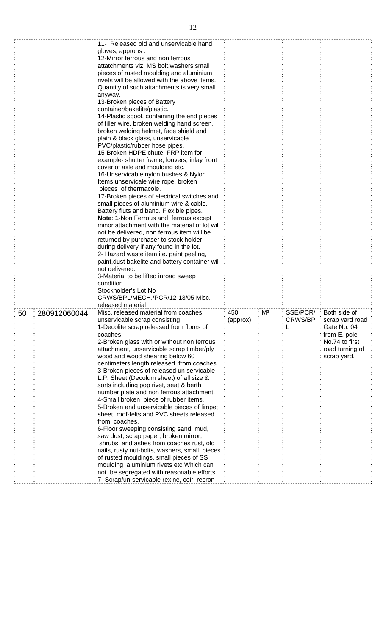|    |              | 11- Released old and unservicable hand          |          |                |          |                 |
|----|--------------|-------------------------------------------------|----------|----------------|----------|-----------------|
|    |              | gloves, approns.                                |          |                |          |                 |
|    |              | 12-Mirror ferrous and non ferrous               |          |                |          |                 |
|    |              | attatchments viz. MS bolt, washers small        |          |                |          |                 |
|    |              | pieces of rusted moulding and aluminium         |          |                |          |                 |
|    |              | rivets will be allowed with the above items.    |          |                |          |                 |
|    |              | Quantity of such attachments is very small      |          |                |          |                 |
|    |              | anyway.                                         |          |                |          |                 |
|    |              | 13-Broken pieces of Battery                     |          |                |          |                 |
|    |              | container/bakelite/plastic.                     |          |                |          |                 |
|    |              | 14-Plastic spool, containing the end pieces     |          |                |          |                 |
|    |              | of filler wire, broken welding hand screen,     |          |                |          |                 |
|    |              | broken welding helmet, face shield and          |          |                |          |                 |
|    |              | plain & black glass, unservicable               |          |                |          |                 |
|    |              | PVC/plastic/rubber hose pipes.                  |          |                |          |                 |
|    |              | 15-Broken HDPE chute, FRP item for              |          |                |          |                 |
|    |              | example- shutter frame, louvers, inlay front    |          |                |          |                 |
|    |              | cover of axle and moulding etc.                 |          |                |          |                 |
|    |              | 16-Unservicable nylon bushes & Nylon            |          |                |          |                 |
|    |              | Items, unservicale wire rope, broken            |          |                |          |                 |
|    |              | pieces of thermacole.                           |          |                |          |                 |
|    |              | 17-Broken pieces of electrical switches and     |          |                |          |                 |
|    |              | small pieces of aluminium wire & cable.         |          |                |          |                 |
|    |              |                                                 |          |                |          |                 |
|    |              | Battery fluts and band. Flexible pipes.         |          |                |          |                 |
|    |              | Note: 1-Non Ferrous and ferrous except          |          |                |          |                 |
|    |              | minor attachment with the material of lot will  |          |                |          |                 |
|    |              | not be delivered, non ferrous item will be      |          |                |          |                 |
|    |              | returned by purchaser to stock holder           |          |                |          |                 |
|    |              | during delivery if any found in the lot.        |          |                |          |                 |
|    |              | 2- Hazard waste item i.e. paint peeling,        |          |                |          |                 |
|    |              | paint, dust bakelite and battery container will |          |                |          |                 |
|    |              | not delivered.                                  |          |                |          |                 |
|    |              | 3-Material to be lifted inroad sweep            |          |                |          |                 |
|    |              | condition                                       |          |                |          |                 |
|    |              | Stockholder's Lot No                            |          |                |          |                 |
|    |              | CRWS/BPL/MECH./PCR/12-13/05 Misc.               |          |                |          |                 |
|    |              | released material                               |          |                |          |                 |
| 50 | 280912060044 | Misc. released material from coaches            | 450      | M <sup>3</sup> | SSE/PCR/ | Both side of    |
|    |              | unservicable scrap consisting                   | (approx) |                | CRWS/BP  | scrap yard road |
|    |              | 1-Decolite scrap released from floors of        |          |                |          | Gate No. 04     |
|    |              | coaches.                                        |          |                |          | from E. pole    |
|    |              | 2-Broken glass with or without non ferrous      |          |                |          | No.74 to first  |
|    |              | attachment, unservicable scrap timber/ply       |          |                |          | road turning of |
|    |              | wood and wood shearing below 60                 |          |                |          | scrap yard.     |
|    |              | centimeters length released from coaches.       |          |                |          |                 |
|    |              | 3-Broken pieces of released un servicable       |          |                |          |                 |
|    |              | L.P. Sheet (Decolum sheet) of all size &        |          |                |          |                 |
|    |              | sorts including pop rivet, seat & berth         |          |                |          |                 |
|    |              | number plate and non ferrous attachment.        |          |                |          |                 |
|    |              | 4-Small broken piece of rubber items.           |          |                |          |                 |
|    |              |                                                 |          |                |          |                 |
|    |              | 5-Broken and unservicable pieces of limpet      |          |                |          |                 |
|    |              | sheet, roof-felts and PVC sheets released       |          |                |          |                 |
|    |              | from coaches.                                   |          |                |          |                 |
|    |              | 6-Floor sweeping consisting sand, mud,          |          |                |          |                 |
|    |              | saw dust, scrap paper, broken mirror,           |          |                |          |                 |
|    |              | shrubs and ashes from coaches rust, old         |          |                |          |                 |
|    |              | nails, rusty nut-bolts, washers, small pieces   |          |                |          |                 |
|    |              | of rusted mouldings, small pieces of SS         |          |                |          |                 |
|    |              | moulding aluminium rivets etc. Which can        |          |                |          |                 |
|    |              | not be segregated with reasonable efforts.      |          |                |          |                 |
|    |              | 7- Scrap/un-servicable rexine, coir, recron     |          |                |          |                 |

 $\frac{1}{2}$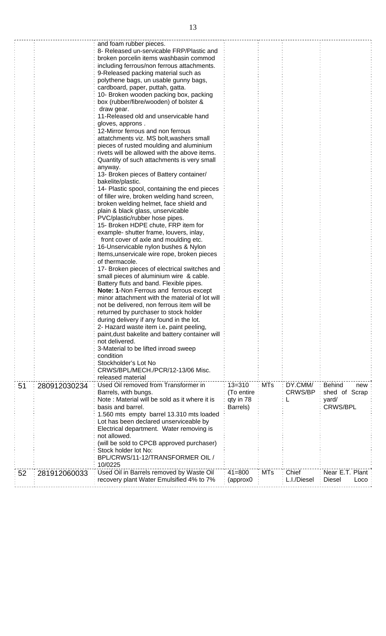|    |              | and foam rubber pieces.                         |            |            |                |                       |
|----|--------------|-------------------------------------------------|------------|------------|----------------|-----------------------|
|    |              | 8- Released un-servicable FRP/Plastic and       |            |            |                |                       |
|    |              | broken porcelin items washbasin commod          |            |            |                |                       |
|    |              | including ferrous/non ferrous attachments.      |            |            |                |                       |
|    |              | 9-Released packing material such as             |            |            |                |                       |
|    |              | polythene bags, un usable gunny bags,           |            |            |                |                       |
|    |              | cardboard, paper, puttah, gatta.                |            |            |                |                       |
|    |              | 10- Broken wooden packing box, packing          |            |            |                |                       |
|    |              | box (rubber/fibre/wooden) of bolster &          |            |            |                |                       |
|    |              | draw gear.                                      |            |            |                |                       |
|    |              | 11-Released old and unservicable hand           |            |            |                |                       |
|    |              | gloves, approns.                                |            |            |                |                       |
|    |              | 12-Mirror ferrous and non ferrous               |            |            |                |                       |
|    |              | attatchments viz. MS bolt, washers small        |            |            |                |                       |
|    |              | pieces of rusted moulding and aluminium         |            |            |                |                       |
|    |              | rivets will be allowed with the above items.    |            |            |                |                       |
|    |              | Quantity of such attachments is very small      |            |            |                |                       |
|    |              | anyway.                                         |            |            |                |                       |
|    |              | 13- Broken pieces of Battery container/         |            |            |                |                       |
|    |              | bakelite/plastic.                               |            |            |                |                       |
|    |              | 14- Plastic spool, containing the end pieces    |            |            |                |                       |
|    |              | of filler wire, broken welding hand screen,     |            |            |                |                       |
|    |              | broken welding helmet, face shield and          |            |            |                |                       |
|    |              | plain & black glass, unservicable               |            |            |                |                       |
|    |              | PVC/plastic/rubber hose pipes.                  |            |            |                |                       |
|    |              | 15- Broken HDPE chute, FRP item for             |            |            |                |                       |
|    |              | example- shutter frame, louvers, inlay,         |            |            |                |                       |
|    |              |                                                 |            |            |                |                       |
|    |              | front cover of axle and moulding etc.           |            |            |                |                       |
|    |              | 16-Unservicable nylon bushes & Nylon            |            |            |                |                       |
|    |              | Items, unservicale wire rope, broken pieces     |            |            |                |                       |
|    |              | of thermacole.                                  |            |            |                |                       |
|    |              | 17- Broken pieces of electrical switches and    |            |            |                |                       |
|    |              | small pieces of aluminium wire & cable.         |            |            |                |                       |
|    |              | Battery fluts and band. Flexible pipes.         |            |            |                |                       |
|    |              | <b>Note: 1-Non Ferrous and ferrous except</b>   |            |            |                |                       |
|    |              | minor attachment with the material of lot will  |            |            |                |                       |
|    |              | not be delivered, non ferrous item will be      |            |            |                |                       |
|    |              | returned by purchaser to stock holder           |            |            |                |                       |
|    |              | during delivery if any found in the lot.        |            |            |                |                       |
|    |              | 2- Hazard waste item i.e. paint peeling,        |            |            |                |                       |
|    |              | paint, dust bakelite and battery container will |            |            |                |                       |
|    |              | not delivered.                                  |            |            |                |                       |
|    |              | 3-Material to be lifted inroad sweep            |            |            |                |                       |
|    |              | condition                                       |            |            |                |                       |
|    |              | Stockholder's Lot No                            |            |            |                |                       |
|    |              | CRWS/BPL/MECH./PCR/12-13/06 Misc.               |            |            |                |                       |
|    |              | released material                               |            |            |                |                       |
| 51 | 280912030234 | Used Oil removed from Transformer in            | $13 = 310$ | <b>MTs</b> | DY.CMM/        | <b>Behind</b><br>new  |
|    |              | Barrels, with bungs.                            | (To entire |            | <b>CRWS/BP</b> | shed of Scrap         |
|    |              | Note: Material will be sold as it where it is   | qty in 78  |            |                | yard/                 |
|    |              | basis and barrel.                               | Barrels)   |            |                | <b>CRWS/BPL</b>       |
|    |              | 1.560 mts empty barrel 13.310 mts loaded        |            |            |                |                       |
|    |              | Lot has been declared unserviceable by          |            |            |                |                       |
|    |              | Electrical department. Water removing is        |            |            |                |                       |
|    |              | not allowed.                                    |            |            |                |                       |
|    |              | (will be sold to CPCB approved purchaser)       |            |            |                |                       |
|    |              | Stock holder lot No:                            |            |            |                |                       |
|    |              | BPL/CRWS/11-12/TRANSFORMER OIL /                |            |            |                |                       |
|    |              | 10/0225                                         |            |            |                |                       |
| 52 | 281912060033 | Used Oil in Barrels removed by Waste Oil        | $41 = 800$ | <b>MTs</b> | Chief          | Near E.T. Plant       |
|    |              | recovery plant Water Emulsified 4% to 7%        | (approx0   |            | L.I./Diesel    | <b>Diesel</b><br>Loco |
|    |              |                                                 |            |            |                |                       |

ŧ.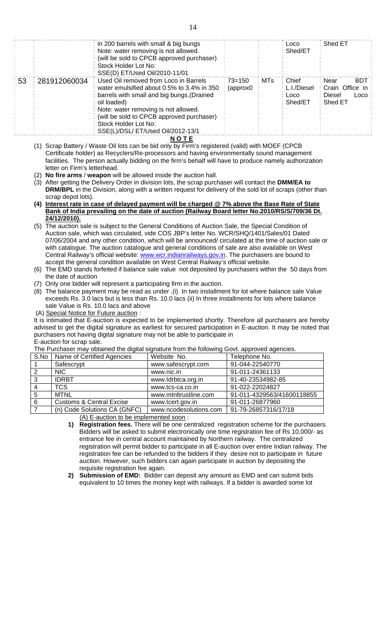|     |              | $\therefore$ in 200 barrels with small & big bungs |            |       | ∶ Locol     | : Shed ET          |
|-----|--------------|----------------------------------------------------|------------|-------|-------------|--------------------|
|     |              | Note: water removing is not allowed.               |            |       | Shed/ET     |                    |
|     |              | (will be sold to CPCB approved purchaser)          |            |       |             |                    |
|     |              | Stock Holder Lot No:                               |            |       |             |                    |
|     |              | SSE(D) ET/Used Oil/2010-11/01                      |            |       |             |                    |
| ∶53 | 281912060034 | Used Oil removed from Loco in Barrels              | $73 = 150$ | ∶ MTs | : Chief     | <b>BDT</b><br>Near |
|     |              | water emulsified about 0.5% to 3.4% in 350         | (approx0)  |       | L.I./Diesel | Crain Office in    |
|     |              | barrels with small and big bungs. (Drained         |            |       | Loco        | Diesel<br>Loco     |
|     |              | oil loaded)                                        |            |       | Shed/ET     | Shed ET            |
|     |              | Note: water removing is not allowed.               |            |       |             |                    |
|     |              | (will be sold to CPCB approved purchaser)          |            |       |             |                    |
|     |              | Stock Holder Lot No:                               |            |       |             |                    |
|     |              | SSE(L)/DSL/ ET/Used Oil/2012-13/1                  |            |       |             |                    |
|     |              |                                                    |            |       |             |                    |

**N O T E**

- (1) Scrap Battery / Waste Oil lots can be bid only by Firm's registered (valid) with MOEF (CPCB Certificate holder) as Recyclers/Re-processors and having environmentally sound management facilities. The person actually bidding on the firm's behalf will have to produce namely authorization letter on Firm's letterhead.
- (2) **No fire arms** / **weapon** will be allowed inside the auction hall.
- (3) After getting the Delivery Order in division lots, the scrap purchaser will contact the **DMM/EA to DRM/BPL** in the Division, along with a written request for delivery of the sold lot of scraps (other than scrap depot lots).
- **(4) Interest rate in case of delayed payment will be charged @ 7% above the Base Rate of State Bank of India prevailing on the date of auction (Railway Board letter No.2010/RS/S/709/36 Dt. 24/12/2010).**
- (5) The auction sale is subject to the General Conditions of Auction Sale, the Special Condition of Auction sale, which was circulated, vide COS JBP's letter No. WCR/SHQ/1401/Sales/01 Dated 07/06/2004 and any other condition, which will be announced/ circulated at the time of auction sale or with catalogue. The auction catalogue and general conditions of sale are also available on West Central Railway's official website: www.wcr.indianrailways.gov.in. The purchasers are bound to accept the general condition available on West Central Railway's official website.
- (6) The EMD stands forfeited if balance sale value not deposited by purchasers within the 50 days from the date of auction
- (7) Only one bidder will represent a participating firm in the auction.
- (8) The balance payment may be read as under .(i) In two installment for lot where balance sale Value exceeds Rs. 3.0 lacs but is less than Rs. 10.0 lacs (ii) In three installments for lots where balance sale Value is Rs. 10.0 lacs and above
- (A) Special Notice for Future auction :

It is intimated that E-auction is expected to be implemented shortly. Therefore all purchasers are hereby advised to get the digital signature as earliest for secured participation in E-auction. It may be noted that purchasers not having digital signature may not be able to participate in E-auction for scrap sale.

The Purchaser may obtained the digital signature from the following Govt. approved agencies.

| S.No | Name of Certified Agencies          | Website No.            | Telephone No.              |
|------|-------------------------------------|------------------------|----------------------------|
|      | Safescrypt                          | www.safescrypt.com     | 91-044-22540770            |
|      | NIC.                                | www.nic.in             | 91-011-24361133            |
| 3    | <b>IDRBT</b>                        | www.ldrbtca.org.in     | 91-40-23534982-85          |
|      | TCS.                                | www.tcs-ca.co.in       | 91-022-22024827            |
| 5    | MTNL                                | www.mtnltrustline.com  | 91-011-4329563/41600118855 |
| 6    | <b>Customs &amp; Central Excise</b> | www.lcert.gov.in       | 91-011-26877960            |
|      | (n) Code Solutions CA (GNFC)        | www.ncodesolutions.com | 91-79-26857316/17/18       |

(A) E-auction to be implemented soon :

- **1) Registration fees.** There will be one centralized registration scheme for the purchasers. Bidders will be asked to submit electronically one time registration fee of Rs 10,000/- as entrance fee in central account maintained by Northern railway. The centralized registration will permit bidder to participate in all E-auction over entire Indian railway. The registration fee can be refunded to the bidders if they desire not to participate in future auction. However, such bidders can again participate in auction by depositing the requisite registration fee again.
- **2) Submission of EMD:** Bidder can deposit any amount as EMD and can submit bids equivalent to 10 times the money kept with railways. If a bidder is awarded some lot